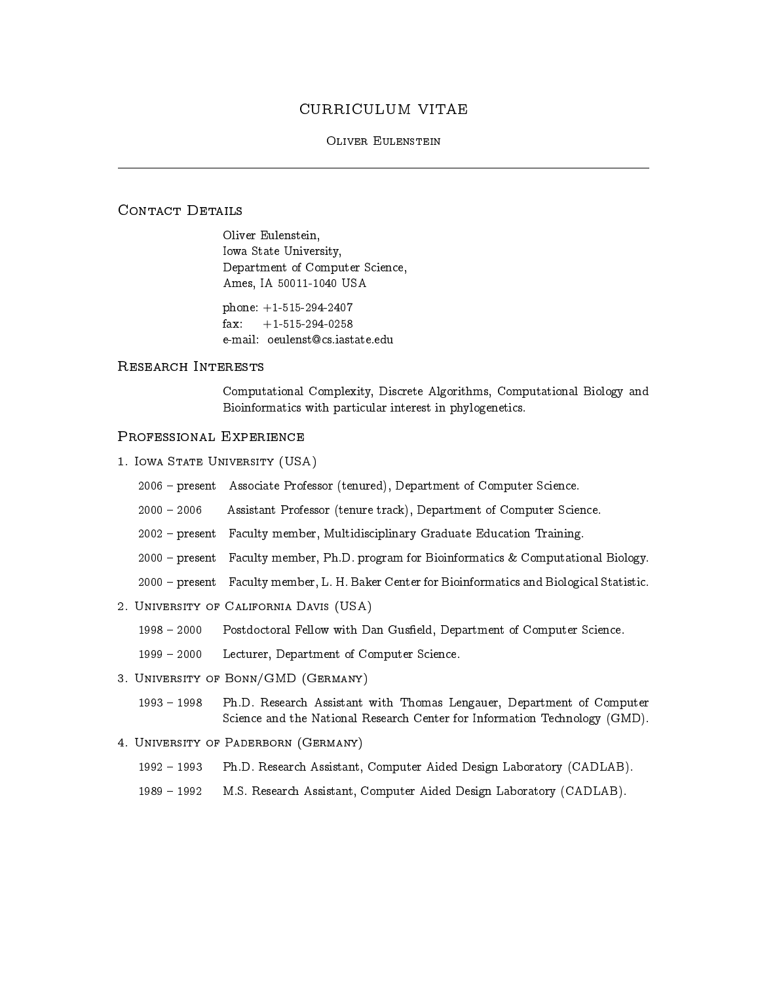# CURRICULUM VITAE

#### Oliver Eulenstein

#### CONTACT DETAILS

Oliver Eulenstein, Iowa State University, Department of Computer Science, Ames, IA 50011-1040 USA

phone: +1-515-294-2407  $fax: +1-515-294-0258$ e-mail: oeulenst@cs.iastate.edu

#### Research Interests

Computational Complexity, Discrete Algorithms, Computational Biology and Bioinformatics with particular interest in phylogenetics.

## PROFESSIONAL EXPERIENCE

|  |  |  | 1. IOWA STATE UNIVERSITY (USA) |  |  |
|--|--|--|--------------------------------|--|--|
|--|--|--|--------------------------------|--|--|

- 2006 { present Associate Professor (tenured), Department of Computer Science.
- 2000 2006 Assistant Professor (tenure track), Department of Computer Science.
- 2002 { present Faculty member, Multidisciplinary Graduate Education Training.
- 2000 { present Faculty member, Ph.D. program for Bioinformatics & Computational Biology.
- 2000 { present Faculty member, L. H. Baker Center for Bioinformatics and Biological Statistic.
- 2. University of California Davis (USA)
	- 1998 2000 Postdoctoral Fellow with Dan Gusfield, Department of Computer Science.

1999 - 2000 Lecturer, Department of Computer Science.

- 3. University of Bonn/GMD (Germany)
	- 1993 { 1998 Ph.D. Research Assistant with Thomas Lengauer, Department of Computer Science and the National Research Center for Information Technology (GMD).
- 4. University of Paderborn (Germany)
	- 1992 1993 Ph.D. Research Assistant, Computer Aided Design Laboratory (CADLAB).
	- 1989 1992 M.S. Research Assistant, Computer Aided Design Laboratory (CADLAB).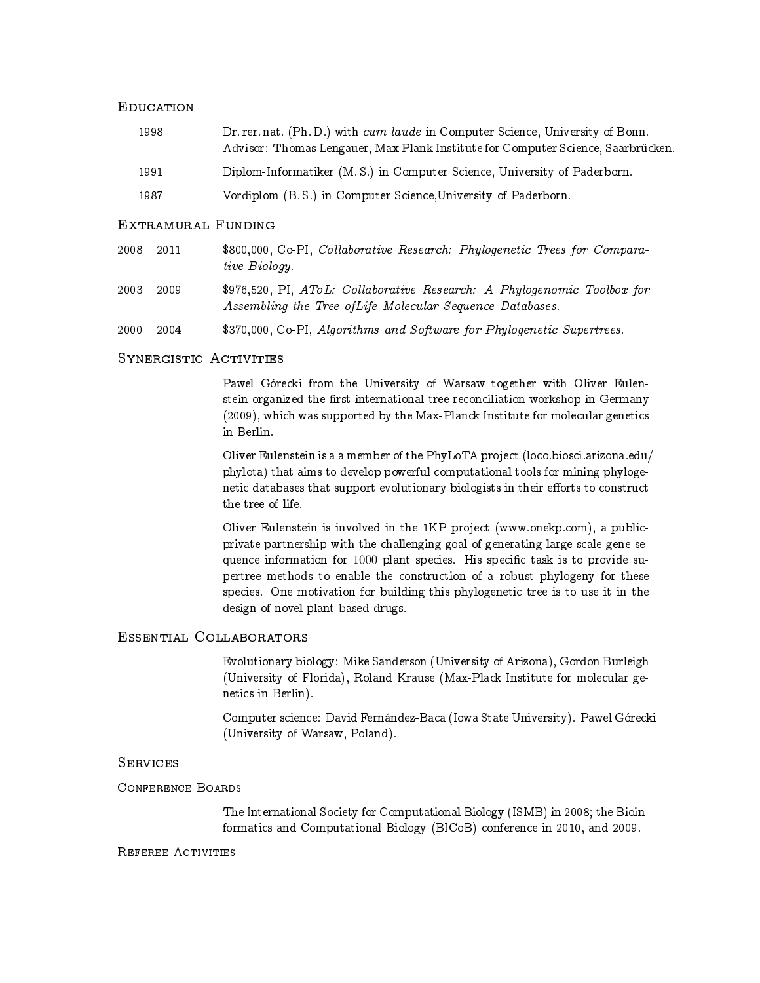### Education

| 1998 | Dr. rer. nat. (Ph. D.) with cum laude in Computer Science, University of Bonn.<br>Advisor: Thomas Lengauer, Max Plank Institute for Computer Science, Saarbrücken. |
|------|--------------------------------------------------------------------------------------------------------------------------------------------------------------------|
| 1991 | Diplom-Informatiker (M.S.) in Computer Science, University of Paderborn.                                                                                           |
| 1987 | Vordiplom (B.S.) in Computer Science, University of Paderborn.                                                                                                     |
|      | EXTRAMURAL FUNDING                                                                                                                                                 |

| $2008 - 2011$ | \$800,000, Co-PI, Collaborative Research: Phylogenetic Trees for Compara- |  |  |  |
|---------------|---------------------------------------------------------------------------|--|--|--|
|               | tive Biology.                                                             |  |  |  |

- 2003 { 2009 \$976,520, PI, AToL: Collaborative Research: A Phylogenomic Toolbox for Assembling the Tree ofLife Molecular Sequence Databases.
- 2000 2004 \$370,000, Co-PI, Algorithms and Software for Phylogenetic Supertrees.

#### SYNERGISTIC ACTIVITIES

Pawel Górecki from the University of Warsaw together with Oliver Eulenstein organized the first international tree-reconciliation workshop in Germany (2009), which was supported by the Max-Planck Institute for molecular genetics in Berlin.

Oliver Eulenstein is a a member of the PhyLoTA project (loco.biosci.arizona.edu/ phylota) that aims to develop powerful computational tools for mining phylogenetic databases that support evolutionary biologists in their efforts to construct the tree of life.

Oliver Eulenstein is involved in the 1KP project (www.onekp.com), a publicprivate partnership with the challenging goal of generating large-scale gene sequence information for 1000 plant species. His specific task is to provide supertree methods to enable the construction of a robust phylogeny for these species. One motivation for building this phylogenetic tree is to use it in the design of novel plant-based drugs.

## Essential Collaborators

Evolutionary biology: Mike Sanderson (University of Arizona), Gordon Burleigh (University of Florida), Roland Krause (Max-Plack Institute for molecular genetics in Berlin).

Computer science: David Fernández-Baca (Iowa State University). Pawel Górecki (University of Warsaw, Poland).

#### **SERVICES**

#### Conference Boards

The International Society for Computational Biology (ISMB) in 2008; the Bioinformatics and Computational Biology (BICoB) conference in 2010, and 2009.

#### Referee Activities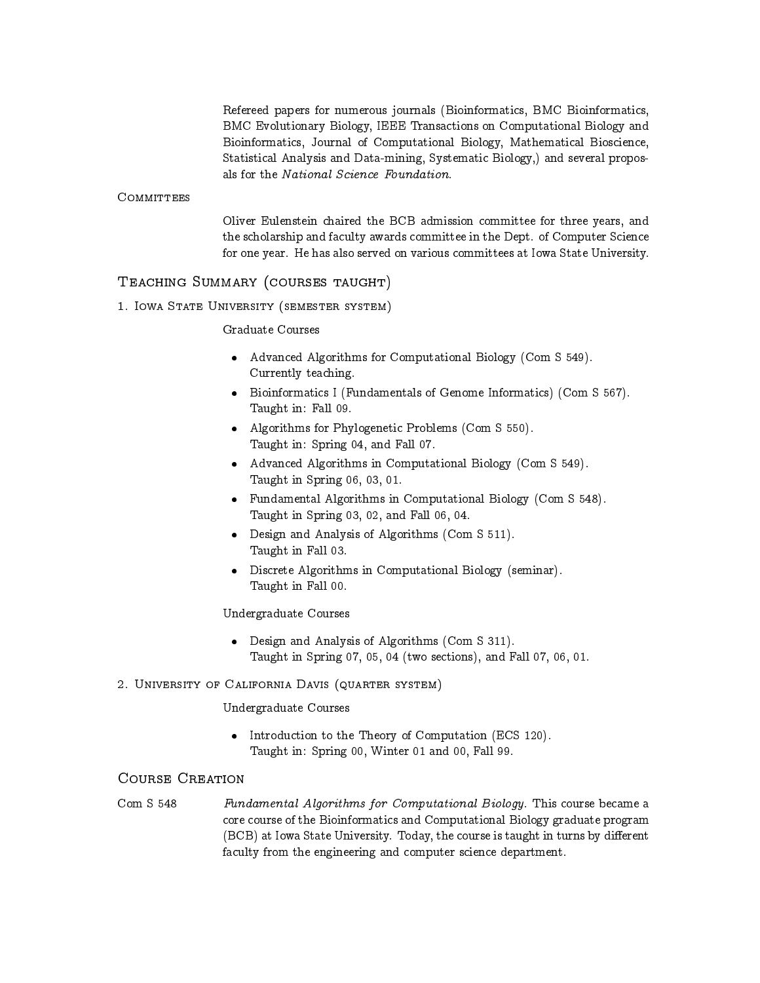Refereed papers for numerous journals (Bioinformatics, BMC Bioinformatics, BMC Evolutionary Biology, IEEE Transactions on Computational Biology and Bioinformatics, Journal of Computational Biology, Mathematical Bioscience, Statistical Analysis and Data-mining, Systematic Biology,) and several proposals for the National Science Foundation.

### COMMITTEES

Oliver Eulenstein chaired the BCB admission committee for three years, and the scholarship and faculty awards committee in the Dept. of Computer Science for one year. He has also served on various committees at Iowa State University.

## Teaching Summary (courses taught)

1. IOWA STATE UNIVERSITY (SEMESTER SYSTEM)

Graduate Courses

- Advanced Algorithms for Computational Biology (Com S 549). Currently teaching.
- Bioinformatics I (Fundamentals of Genome Informatics) (Com S 567). Taught in: Fall 09.
- Algorithms for Phylogenetic Problems (Com S 550). Taught in: Spring 04, and Fall 07.
- Advanced Algorithms in Computational Biology (Com S 549). Taught in Spring 06, 03, 01.
- Fundamental Algorithms in Computational Biology (Com S 548). Taught in Spring 03, 02, and Fall 06, 04.
- Design and Analysis of Algorithms (Com S 511). Taught in Fall 03.
- Discrete Algorithms in Computational Biology (seminar). Taught in Fall 00.

Undergraduate Courses

- Design and Analysis of Algorithms (Com S 311). Taught in Spring 07, 05, 04 (two sections), and Fall 07, 06, 01.
- 2. University of California Davis (quarter system)

Undergraduate Courses

• Introduction to the Theory of Computation (ECS 120). Taught in: Spring 00, Winter 01 and 00, Fall 99.

## Course Creation

Com S 548 Fundamental Algorithms for Computational Biology. This course became a core course of the Bioinformatics and Computational Biology graduate program (BCB) at Iowa State University. Today, the course is taught in turns by different faculty from the engineering and computer science department.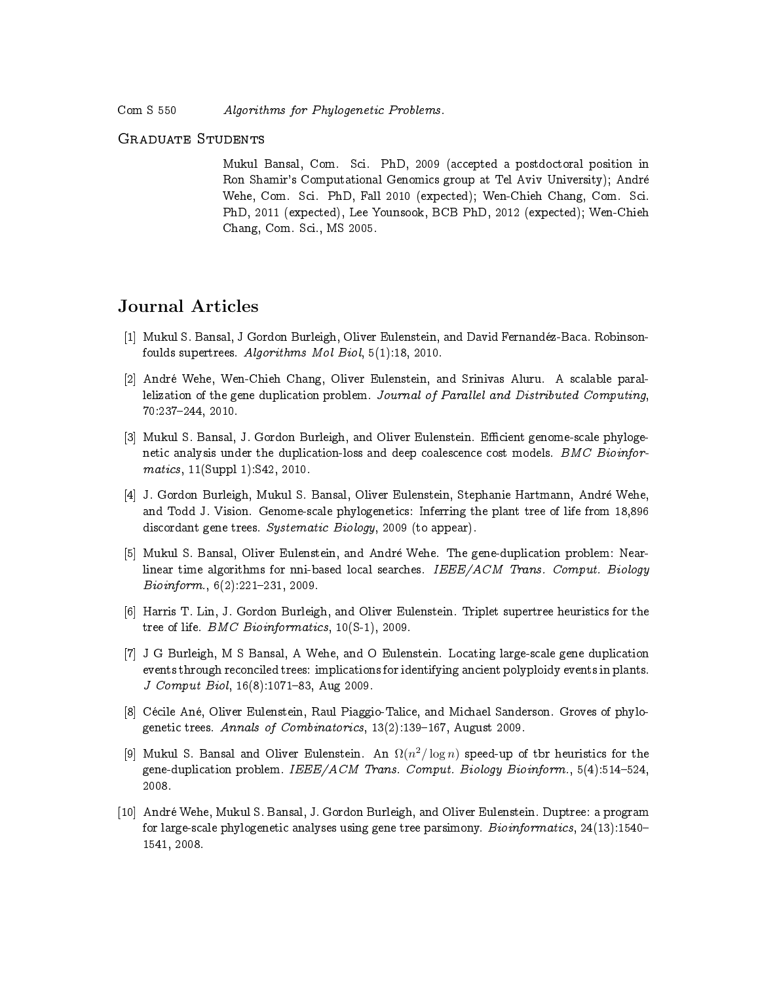#### Graduate Students

Mukul Bansal, Com. Sci. PhD, 2009 (accepted a postdoctoral position in Ron Shamir's Computational Genomics group at Tel Aviv University); Andre Wehe, Com. Sci. PhD, Fall 2010 (expected); Wen-Chieh Chang, Com. Sci. PhD, 2011 (expected), Lee Younsook, BCB PhD, 2012 (expected); Wen-Chieh Chang, Com. Sci., MS 2005.

# Journal Articles

- [1] Mukul S. Bansal, J Gordon Burleigh, Oliver Eulenstein, and David Fernandez-Baca. Robinsonfoulds supertrees. Algorithms Mol Biol, 5(1):18, 2010.
- [2] Andre Wehe, Wen-Chieh Chang, Oliver Eulenstein, and Srinivas Aluru. A scalable parallelization of the gene duplication problem. Journal of Parallel and Distributed Computing, 70:237-244, 2010.
- [3] Mukul S. Bansal, J. Gordon Burleigh, and Oliver Eulenstein. Efficient genome-scale phylogenetic analysis under the duplication-loss and deep coalescence cost models. BMC Bioinformatics, 11(Suppl 1):S42, 2010.
- [4] J. Gordon Burleigh, Mukul S. Bansal, Oliver Eulenstein, Stephanie Hartmann, Andre Wehe, and Todd J. Vision. Genome-scale phylogenetics: Inferring the plant tree of life from 18,896 discordant gene trees. Systematic Biology, 2009 (to appear).
- [5] Mukul S. Bansal, Oliver Eulenstein, and Andre Wehe. The gene-duplication problem: Nearlinear time algorithms for nni-based local searches.  $IEEE/ACM$  Trans. Comput. Biology  $Bioinform., 6(2):221–231, 2009.$
- [6] Harris T. Lin, J. Gordon Burleigh, and Oliver Eulenstein. Triplet supertree heuristics for the tree of life. *BMC Bioinformatics*, 10(S-1), 2009.
- [7] J G Burleigh, M S Bansal, A Wehe, and O Eulenstein. Locating large-scale gene duplication events through reconciled trees: implications for identifying ancient polyploidy events in plants. J Comput Biol, 16(8):1071-83, Aug 2009.
- [8] Cécile Ané, Oliver Eulenstein, Raul Piaggio-Talice, and Michael Sanderson. Groves of phylogenetic trees. Annals of Combinatorics, 13(2):139-167, August 2009.
- [9] Mukul S. Bansal and Oliver Eulenstein. An  $\Omega(n^2/\log n)$  speed-up of tbr heuristics for the gene-duplication problem. IEEE/ACM Trans. Comput. Biology Bioinform.,  $5(4):514-524$ , 2008.
- [10] Andre Wehe, Mukul S. Bansal, J. Gordon Burleigh, and Oliver Eulenstein. Duptree: a program for large-scale phylogenetic analyses using gene tree parsimony. *Bioinformatics*,  $24(13):1540-$ 1541, 2008.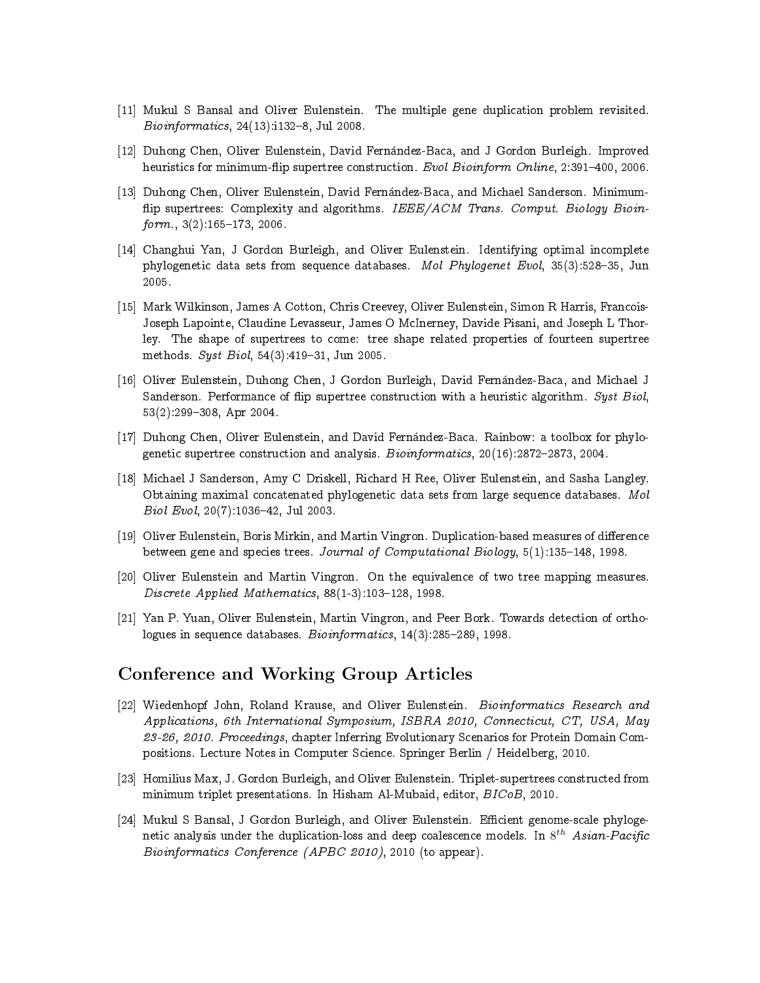- [11] Mukul S Bansal and Oliver Eulenstein. The multiple gene duplication problem revisited.  $Bioinformatics, 24(13):i132–8, Jul 2008.$
- [12] Duhong Chen, Oliver Eulenstein, David Fernandez-Baca, and J Gordon Burleigh. Improved heuristics for minimum-flip supertree construction. Evol Bioinform Online, 2:391-400, 2006.
- [13] Duhong Chen, Oliver Eulenstein, David Fernandez-Baca, and Michael Sanderson. Minimum flip supertrees: Complexity and algorithms. IEEE/ACM Trans. Comput. Biology Bioin $form., 3(2):165–173, 2006.$
- [14] Changhui Yan, J Gordon Burleigh, and Oliver Eulenstein. Identifying optimal incomplete phylogenetic data sets from sequence databases. Mol Phylogenet Evol, 35(3):528-35, Jun 2005.
- [15] Mark Wilkinson, James A Cotton, Chris Creevey, Oliver Eulenstein, Simon R Harris, Francois-Joseph Lapointe, Claudine Levasseur, James O McInerney, Davide Pisani, and Joseph L Thorley. The shape of supertrees to come: tree shape related properties of fourteen supertree methods. Syst Biol,  $54(3):419-31$ , Jun 2005.
- [16] Oliver Eulenstein, Duhong Chen, J Gordon Burleigh, David Fernández-Baca, and Michael J Sanderson. Performance of flip supertree construction with a heuristic algorithm.  $Syst\ Biol,$ 53(2):299-308, Apr 2004.
- [17] Duhong Chen, Oliver Eulenstein, and David Fernandez-Baca. Rainbow: a toolbox for phylogenetic supertree construction and analysis. *Bioinformatics*,  $20(16):2872{-}2873$ , 2004.
- [18] Michael J Sanderson, Amy C Driskell, Richard H Ree, Oliver Eulenstein, and Sasha Langley. Obtaining maximal concatenated phylogenetic data sets from large sequence databases. Mol  $Biol$   $Evol$ ,  $20(7)$ : 1036-42, Jul 2003.
- [19] Oliver Eulenstein, Boris Mirkin, and Martin Vingron. Duplication-based measures of difference between gene and species trees. Journal of Computational Biology,  $5(1):135{-}148$ , 1998.
- [20] Oliver Eulenstein and Martin Vingron. On the equivalence of two tree mapping measures. Discrete Applied Mathematics,  $88(1-3)$ :103-128, 1998.
- [21] Yan P. Yuan, Oliver Eulenstein, Martin Vingron, and Peer Bork. Towards detection of orthologues in sequence databases. Bioinformatics, 14(3):285-289, 1998.

# Conference and Working Group Articles

- [22] Wiedenhopf John, Roland Krause, and Oliver Eulenstein. Bioinformatics Research and Applications, 6th International Symposium, ISBRA 2010, Connecticut, CT, USA, May 23-26, 2010. Proceedings, chapter Inferring Evolutionary Scenarios for Protein Domain Compositions. Lecture Notes in Computer Science. Springer Berlin / Heidelberg, 2010.
- [23] Homilius Max, J. Gordon Burleigh, and Oliver Eulenstein. Triplet-supertrees constructed from minimum triplet presentations. In Hisham Al-Mubaid, editor, BICoB, 2010.
- [24] Mukul S Bansal, J Gordon Burleigh, and Oliver Eulenstein. Efficient genome-scale phylogenetic analysis under the duplication-loss and deep coalescence models. In  $8^{th}$  As $\emph{isan-Pacific}$ Bioinformatics Conference (APBC 2010), 2010 (to appear).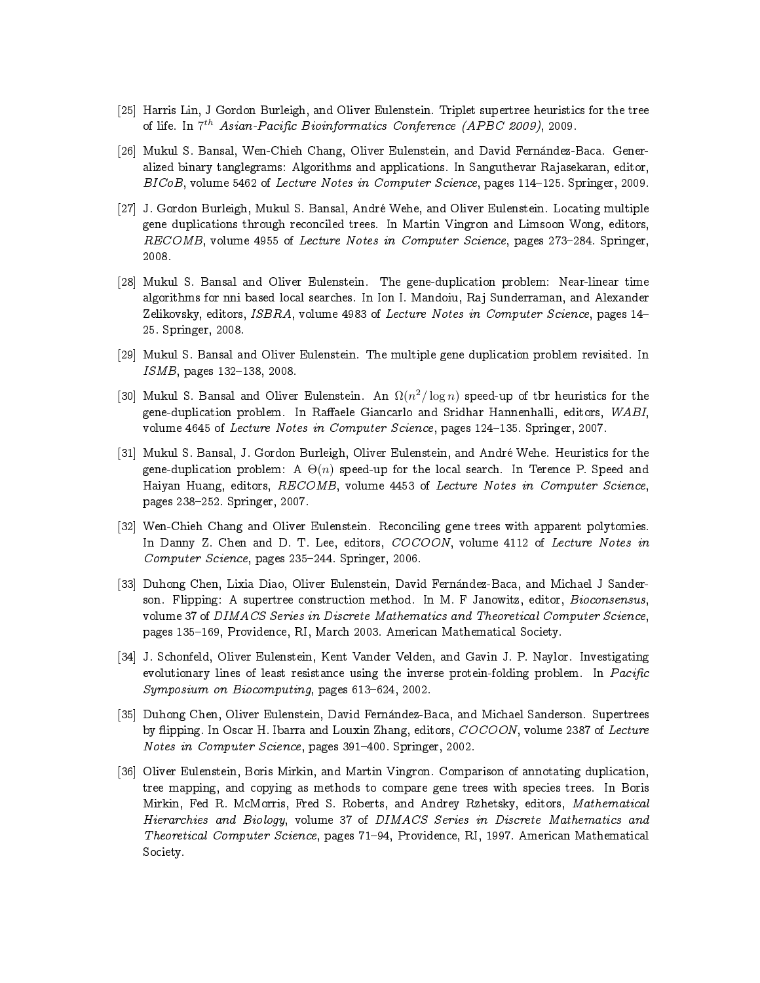- [25] Harris Lin, J Gordon Burleigh, and Oliver Eulenstein. Triplet supertree heuristics for the tree of life. In  $7^{th}$  Asian-Pacific Bioinformatics Conference (APBC 2009), 2009.
- [26] Mukul S. Bansal, Wen-Chieh Chang, Oliver Eulenstein, and David Fernández-Baca. Generalized binary tanglegrams: Algorithms and applications. In Sanguthevar Rajasekaran, editor, BICoB, volume 5462 of Lecture Notes in Computer Science, pages 114-125. Springer, 2009.
- [27] J. Gordon Burleigh, Mukul S. Bansal, Andre Wehe, and Oliver Eulenstein. Locating multiple gene duplications through reconciled trees. In Martin Vingron and Limsoon Wong, editors, RECOMB, volume 4955 of Lecture Notes in Computer Science, pages 273-284. Springer, 2008.
- [28] Mukul S. Bansal and Oliver Eulenstein. The gene-duplication problem: Near-linear time algorithms for nni based local searches. In Ion I. Mandoiu, Raj Sunderraman, and Alexander Zelikovsky, editors, *ISBRA*, volume 4983 of *Lecture Notes in Computer Science*, pages  $14-$ 25. Springer, 2008.
- [29] Mukul S. Bansal and Oliver Eulenstein. The multiple gene duplication problem revisited. In ISMB, pages 132-138, 2008.
- [30] Mukul S. Bansal and Oliver Eulenstein. An  $\Omega(n^2/\log n)$  speed-up of tbr heuristics for the gene-duplication problem. In Raffaele Giancarlo and Sridhar Hannenhalli, editors, WABI, volume 4645 of Lecture Notes in Computer Science, pages 124-135. Springer, 2007.
- [31] Mukul S. Bansal, J. Gordon Burleigh, Oliver Eulenstein, and Andre Wehe. Heuristics for the gene-duplication problem: A  $\Theta(n)$  speed-up for the local search. In Terence P. Speed and Haiyan Huang, editors, RECOMB, volume 4453 of Lecture Notes in Computer Science, pages 238-252. Springer, 2007.
- [32] Wen-Chieh Chang and Oliver Eulenstein. Reconciling gene trees with apparent polytomies. In Danny Z. Chen and D. T. Lee, editors, COCOON, volume 4112 of Lecture Notes in Computer Science, pages 235-244. Springer, 2006.
- [33] Duhong Chen, Lixia Diao, Oliver Eulenstein, David Fernández-Baca, and Michael J Sanderson. Flipping: A supertree construction method. In M. F Janowitz, editor, Bioconsensus, volume 37 of DIMACS Series in Discrete Mathematics and Theoretical Computer Science, pages 135-169, Providence, RI, March 2003. American Mathematical Society.
- [34] J. Schonfeld, Oliver Eulenstein, Kent Vander Velden, and Gavin J. P. Naylor. Investigating evolutionary lines of least resistance using the inverse protein-folding problem. In Pacific Symposium on Biocomputing, pages 613-624, 2002.
- [35] Duhong Chen, Oliver Eulenstein, David Fernandez-Baca, and Michael Sanderson. Supertrees by flipping. In Oscar H. Ibarra and Louxin Zhang, editors, COCOON, volume 2387 of Lecture Notes in Computer Science, pages 391-400. Springer, 2002.
- [36] Oliver Eulenstein, Boris Mirkin, and Martin Vingron. Comparison of annotating duplication, tree mapping, and copying as methods to compare gene trees with species trees. In Boris Mirkin, Fed R. McMorris, Fred S. Roberts, and Andrey Rzhetsky, editors, Mathematical Hierarchies and Biology, volume 37 of DIMACS Series in Discrete Mathematics and Theoretical Computer Science, pages 71-94, Providence, RI, 1997. American Mathematical Society.